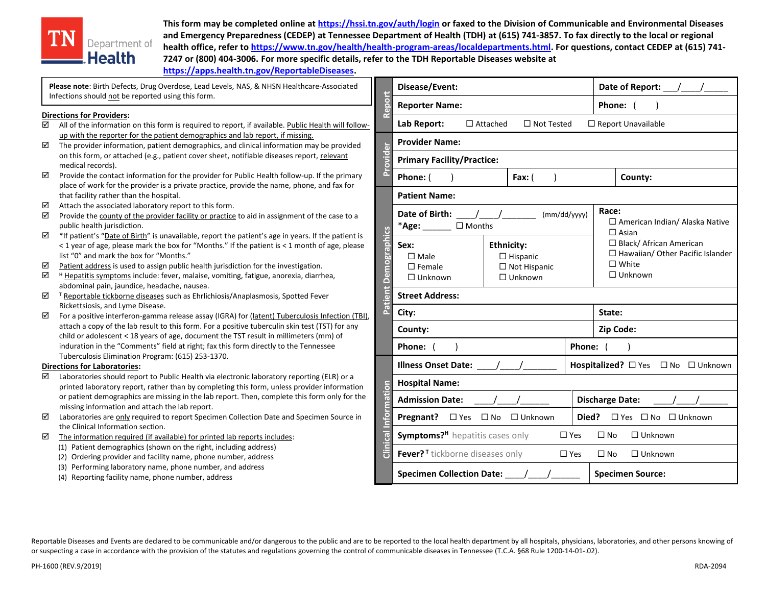

**This form may be completed online a[t https://hssi.tn.gov/auth/login](https://hssi.tn.gov/auth/login) or faxed to the Division of Communicable and Environmental Diseases and Emergency Preparedness (CEDEP) at Tennessee Department of Health (TDH) at (615) 741-3857. To fax directly to the local or regional health office, refer t[o https://www.tn.gov/health/health-program-areas/localdepartments.html.](https://www.tn.gov/health/health-program-areas/localdepartments.html) For questions, contact CEDEP at (615) 741- 7247 or (800) 404-3006. For more specific details, refer to the TDH Reportable Diseases website at [https://apps.health.tn.gov/ReportableDiseases.](https://apps.health.tn.gov/ReportableDiseases)** 

|             | Please note: Birth Defects, Drug Overdose, Lead Levels, NAS, & NHSN Healthcare-Associated<br>Infections should not be reported using this form.                                                                                                                                                                                                                                                                                                                                         |                     | Disease/Event:                                                                                                                                |                 |                |                   | Date of Report:     |                                                                                 |                      |  |
|-------------|-----------------------------------------------------------------------------------------------------------------------------------------------------------------------------------------------------------------------------------------------------------------------------------------------------------------------------------------------------------------------------------------------------------------------------------------------------------------------------------------|---------------------|-----------------------------------------------------------------------------------------------------------------------------------------------|-----------------|----------------|-------------------|---------------------|---------------------------------------------------------------------------------|----------------------|--|
|             |                                                                                                                                                                                                                                                                                                                                                                                                                                                                                         | eport               | <b>Reporter Name:</b>                                                                                                                         |                 |                |                   |                     | Phone:                                                                          |                      |  |
| ☑           | <b>Directions for Providers:</b><br>All of the information on this form is required to report, if available. Public Health will follow-                                                                                                                                                                                                                                                                                                                                                 |                     | Lab Report:                                                                                                                                   | $\Box$ Attached |                | $\Box$ Not Tested |                     |                                                                                 | □ Report Unavailable |  |
| ☑           | up with the reporter for the patient demographics and lab report, if missing.<br>The provider information, patient demographics, and clinical information may be provided                                                                                                                                                                                                                                                                                                               | Provider            | <b>Provider Name:</b>                                                                                                                         |                 |                |                   |                     |                                                                                 |                      |  |
|             | on this form, or attached (e.g., patient cover sheet, notifiable diseases report, relevant<br>medical records).                                                                                                                                                                                                                                                                                                                                                                         |                     | <b>Primary Facility/Practice:</b>                                                                                                             |                 |                |                   |                     |                                                                                 |                      |  |
| ☑           | Provide the contact information for the provider for Public Health follow-up. If the primary<br>place of work for the provider is a private practice, provide the name, phone, and fax for                                                                                                                                                                                                                                                                                              |                     | Phone: (                                                                                                                                      |                 | Fax: (         |                   |                     |                                                                                 | County:              |  |
| ☑           | that facility rather than the hospital.<br>Attach the associated laboratory report to this form.                                                                                                                                                                                                                                                                                                                                                                                        |                     | <b>Patient Name:</b>                                                                                                                          |                 |                |                   |                     |                                                                                 |                      |  |
| ☑           | Provide the county of the provider facility or practice to aid in assignment of the case to a<br>public health jurisdiction.                                                                                                                                                                                                                                                                                                                                                            | <b>Demographics</b> | Date of Birth:<br>(mm/dd/yyyy)<br>$\Box$ Months<br>$*$ Age: $\_\_$                                                                            |                 |                |                   |                     | Race:<br>$\Box$ American Ind<br>$\Box$ Asian                                    |                      |  |
| ☑<br>☑<br>☑ | *If patient's "Date of Birth" is unavailable, report the patient's age in years. If the patient is<br>< 1 year of age, please mark the box for "Months." If the patient is < 1 month of age, please<br>list "0" and mark the box for "Months."<br>Patient address is used to assign public health jurisdiction for the investigation.<br><sup>H</sup> Hepatitis symptoms include: fever, malaise, vomiting, fatigue, anorexia, diarrhea,<br>abdominal pain, jaundice, headache, nausea. |                     | <b>Ethnicity:</b><br>Sex:<br>$\square$ Male<br>$\Box$ Hispanic<br>$\square$ Female<br>$\Box$ Not Hispanic<br>$\Box$ Unknown<br>$\Box$ Unknown |                 |                |                   |                     | $\Box$ Black/Africar<br>$\Box$ Hawaiian/Ot<br>$\square$ White<br>$\Box$ Unknown |                      |  |
| ☑           | <sup>T</sup> Reportable tickborne diseases such as Ehrlichiosis/Anaplasmosis, Spotted Fever                                                                                                                                                                                                                                                                                                                                                                                             | έ                   | <b>Street Address:</b>                                                                                                                        |                 |                |                   |                     |                                                                                 |                      |  |
| ☑           | Rickettsiosis, and Lyme Disease.<br>For a positive interferon-gamma release assay (IGRA) for (latent) Tuberculosis Infection (TBI),                                                                                                                                                                                                                                                                                                                                                     | Pati                | City:                                                                                                                                         |                 |                |                   |                     | State:                                                                          |                      |  |
|             | attach a copy of the lab result to this form. For a positive tuberculin skin test (TST) for any<br>child or adolescent < 18 years of age, document the TST result in millimeters (mm) of                                                                                                                                                                                                                                                                                                |                     | County:                                                                                                                                       |                 |                |                   |                     | Zip Code:                                                                       |                      |  |
|             | induration in the "Comments" field at right; fax this form directly to the Tennessee                                                                                                                                                                                                                                                                                                                                                                                                    | <b>Phone:</b>       |                                                                                                                                               |                 |                | Phone:            |                     |                                                                                 |                      |  |
|             | Tuberculosis Elimination Program: (615) 253-1370.<br><b>Directions for Laboratories:</b>                                                                                                                                                                                                                                                                                                                                                                                                |                     | <b>Illness Onset Date:</b>                                                                                                                    |                 |                |                   | Hospitalized? □ Yes |                                                                                 |                      |  |
| ☑           | Laboratories should report to Public Health via electronic laboratory reporting (ELR) or a<br>printed laboratory report, rather than by completing this form, unless provider information                                                                                                                                                                                                                                                                                               | mation              | <b>Hospital Name:</b>                                                                                                                         |                 |                |                   |                     |                                                                                 |                      |  |
|             | or patient demographics are missing in the lab report. Then, complete this form only for the<br>missing information and attach the lab report.                                                                                                                                                                                                                                                                                                                                          |                     | <b>Admission Date:</b>                                                                                                                        |                 |                |                   |                     | <b>Discharge Date:</b>                                                          |                      |  |
| ☑           | Laboratories are only required to report Specimen Collection Date and Specimen Source in<br>the Clinical Information section.                                                                                                                                                                                                                                                                                                                                                           |                     | $\square$ Yes<br>Pregnant?                                                                                                                    | $\square$ No    | $\Box$ Unknown |                   | Died?               |                                                                                 | $\Box$ Yes $\Box$ No |  |
| ☑           | The information required (if available) for printed lab reports includes:                                                                                                                                                                                                                                                                                                                                                                                                               | Clinical            | Symptoms? <sup>H</sup> hepatitis cases only                                                                                                   |                 |                |                   | $\Box$ Yes          | $\square$ No                                                                    | $\Box$ Unknov        |  |
|             | (1) Patient demographics (shown on the right, including address)<br>(2) Ordering provider and facility name, phone number, address                                                                                                                                                                                                                                                                                                                                                      |                     | Fever? <sup>T</sup> tickborne diseases only                                                                                                   |                 |                |                   | $\Box$ Yes          | $\square$ No                                                                    | $\Box$ Unknov        |  |

(3) Performing laboratory name, phone number, and address

(4) Reporting facility name, phone number, address

| Reportable Diseases and Events are declared to be communicable and/or dangerous to the public and are to be reported to the local health department by all hospitals, physicians, laboratories, and other persons knowing of |
|------------------------------------------------------------------------------------------------------------------------------------------------------------------------------------------------------------------------------|
| or suspecting a case in accordance with the provision of the statutes and regulations governing the control of communicable diseases in Tennessee (T.C.A. §68 Rule 1200-14-01-.02).                                          |

□ Yes □ No □ Unknown

 $\Box$  Yes  $\Box$  No  $\Box$  Unknown

**Specimen Collection Date:** \_\_\_\_/\_\_\_\_/\_\_\_\_\_\_ **Specimen Source:**

□ American Indian/ Alaska Native

□ Black/ African American □ Hawaiian/ Other Pacific Islander

**Hospitalized?** □ Yes □ No □ Unknown

**Died?** □ Yes □ No □ Unknown